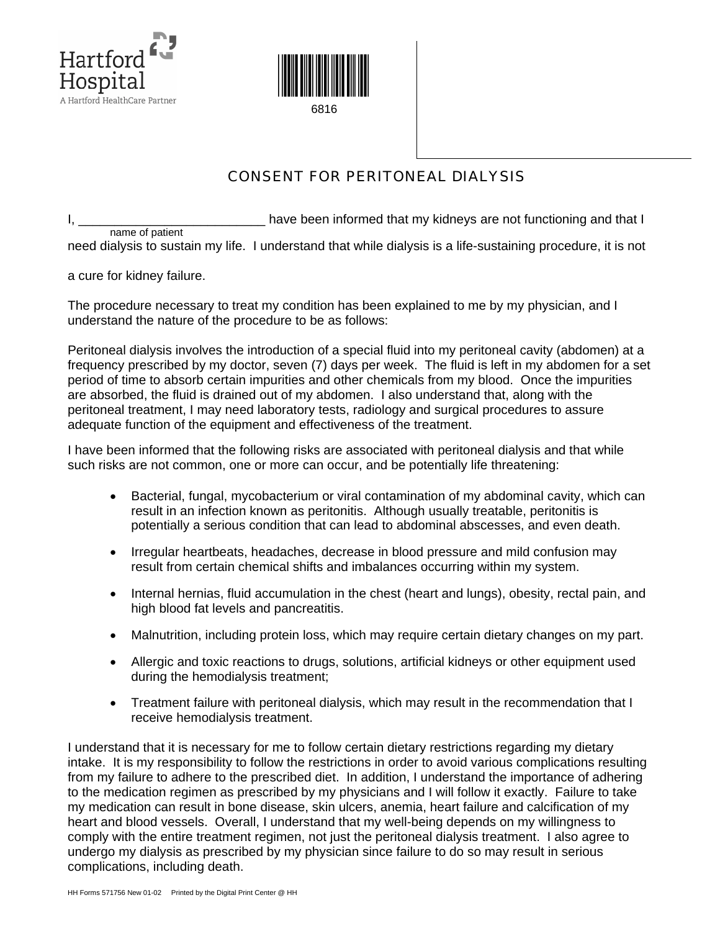



## CONSENT FOR PERITONEAL DIALYSIS

I, \_\_\_\_\_\_\_\_\_\_\_\_\_\_\_\_\_\_\_\_\_\_\_\_\_\_\_\_\_\_\_\_ have been informed that my kidneys are not functioning and that I name of patient need dialysis to sustain my life. I understand that while dialysis is a life-sustaining procedure, it is not

a cure for kidney failure.

The procedure necessary to treat my condition has been explained to me by my physician, and I understand the nature of the procedure to be as follows:

Peritoneal dialysis involves the introduction of a special fluid into my peritoneal cavity (abdomen) at a frequency prescribed by my doctor, seven (7) days per week. The fluid is left in my abdomen for a set period of time to absorb certain impurities and other chemicals from my blood. Once the impurities are absorbed, the fluid is drained out of my abdomen. I also understand that, along with the peritoneal treatment, I may need laboratory tests, radiology and surgical procedures to assure adequate function of the equipment and effectiveness of the treatment.

I have been informed that the following risks are associated with peritoneal dialysis and that while such risks are not common, one or more can occur, and be potentially life threatening:

- Bacterial, fungal, mycobacterium or viral contamination of my abdominal cavity, which can result in an infection known as peritonitis. Although usually treatable, peritonitis is potentially a serious condition that can lead to abdominal abscesses, and even death.
- Irregular heartbeats, headaches, decrease in blood pressure and mild confusion may result from certain chemical shifts and imbalances occurring within my system.
- Internal hernias, fluid accumulation in the chest (heart and lungs), obesity, rectal pain, and high blood fat levels and pancreatitis.
- Malnutrition, including protein loss, which may require certain dietary changes on my part.
- Allergic and toxic reactions to drugs, solutions, artificial kidneys or other equipment used during the hemodialysis treatment;
- Treatment failure with peritoneal dialysis, which may result in the recommendation that I receive hemodialysis treatment.

I understand that it is necessary for me to follow certain dietary restrictions regarding my dietary intake. It is my responsibility to follow the restrictions in order to avoid various complications resulting from my failure to adhere to the prescribed diet. In addition, I understand the importance of adhering to the medication regimen as prescribed by my physicians and I will follow it exactly. Failure to take my medication can result in bone disease, skin ulcers, anemia, heart failure and calcification of my heart and blood vessels. Overall, I understand that my well-being depends on my willingness to comply with the entire treatment regimen, not just the peritoneal dialysis treatment. I also agree to undergo my dialysis as prescribed by my physician since failure to do so may result in serious complications, including death.